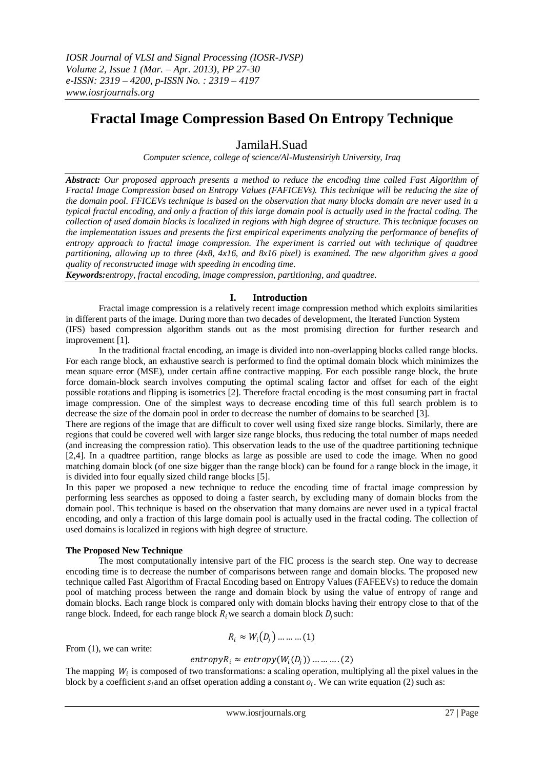# **Fractal Image Compression Based On Entropy Technique**

# JamilaH.Suad

*Computer science, college of science/Al-Mustensiriyh University, Iraq*

*Abstract: Our proposed approach presents a method to reduce the encoding time called Fast Algorithm of Fractal Image Compression based on Entropy Values (FAFICEVs). This technique will be reducing the size of the domain pool. FFICEVs technique is based on the observation that many blocks domain are never used in a typical fractal encoding, and only a fraction of this large domain pool is actually used in the fractal coding. The collection of used domain blocks is localized in regions with high degree of structure. This technique focuses on the implementation issues and presents the first empirical experiments analyzing the performance of benefits of entropy approach to fractal image compression. The experiment is carried out with technique of quadtree partitioning, allowing up to three (4x8, 4x16, and 8x16 pixel) is examined. The new algorithm gives a good quality of reconstructed image with speeding in encoding time.* 

*Keywords:entropy, fractal encoding, image compression, partitioning, and quadtree.*

### **I. Introduction**

Fractal image compression is a relatively recent image compression method which exploits similarities in different parts of the image. During more than two decades of development, the Iterated Function System (IFS) based compression algorithm stands out as the most promising direction for further research and improvement [1].

In the traditional fractal encoding, an image is divided into non-overlapping blocks called range blocks. For each range block, an exhaustive search is performed to find the optimal domain block which minimizes the mean square error (MSE), under certain affine contractive mapping. For each possible range block, the brute force domain-block search involves computing the optimal scaling factor and offset for each of the eight possible rotations and flipping is isometrics [2]. Therefore fractal encoding is the most consuming part in fractal image compression. One of the simplest ways to decrease encoding time of this full search problem is to decrease the size of the domain pool in order to decrease the number of domains to be searched [3].

There are regions of the image that are difficult to cover well using fixed size range blocks. Similarly, there are regions that could be covered well with larger size range blocks, thus reducing the total number of maps needed (and increasing the compression ratio). This observation leads to the use of the quadtree partitioning technique [2,4]. In a quadtree partition, range blocks as large as possible are used to code the image. When no good matching domain block (of one size bigger than the range block) can be found for a range block in the image, it is divided into four equally sized child range blocks [5].

In this paper we proposed a new technique to reduce the encoding time of fractal image compression by performing less searches as opposed to doing a faster search, by excluding many of domain blocks from the domain pool. This technique is based on the observation that many domains are never used in a typical fractal encoding, and only a fraction of this large domain pool is actually used in the fractal coding. The collection of used domains is localized in regions with high degree of structure.

#### **The Proposed New Technique**

The most computationally intensive part of the FIC process is the search step. One way to decrease encoding time is to decrease the number of comparisons between range and domain blocks. The proposed new technique called Fast Algorithm of Fractal Encoding based on Entropy Values (FAFEEVs) to reduce the domain pool of matching process between the range and domain block by using the value of entropy of range and domain blocks. Each range block is compared only with domain blocks having their entropy close to that of the range block. Indeed, for each range block  $R_i$  we search a domain block  $D_j$  such:

$$
R_i \approx W_i(D_j) \dots \dots \dots (1)
$$

From (1), we can write:

### $entropy R_i \approx entropy(W_i(D_j)) \dots \dots \dots (2)$

The mapping  $W_i$  is composed of two transformations: a scaling operation, multiplying all the pixel values in the block by a coefficient  $s_i$  and an offset operation adding a constant  $o_i$ . We can write equation (2) such as: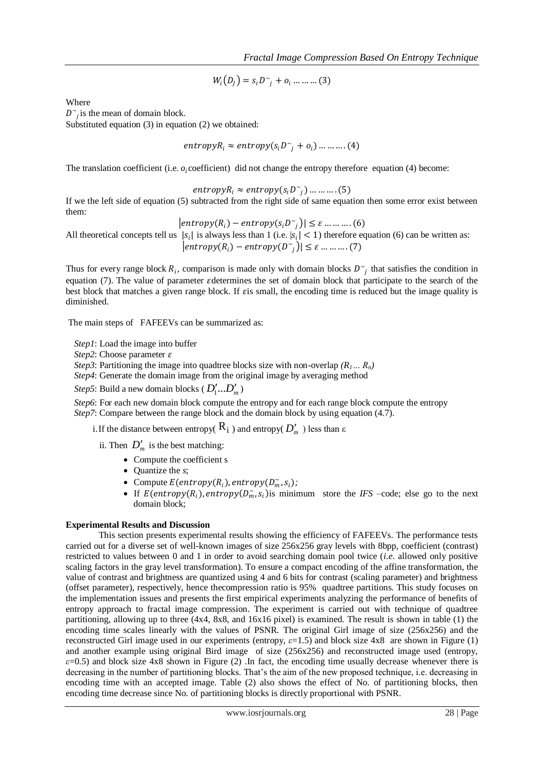$$
W_i(D_j) = s_i D_{j} + o_i \dots \dots \dots (3)
$$

Where

 $D^{\sim}$  is the mean of domain block.

Substituted equation (3) in equation (2) we obtained:

$$
entropy_{i} \approx entropy(s_{i}D^{\sim}_{j} + o_{i}) \dots \dots \dots (4)
$$

The translation coefficient (i.e.  $o_i$ coefficient) did not change the entropy therefore equation (4) become:

 $entropy R_i \approx entropy(s_i D^*_{j}) \dots \dots \dots (5)$ 

If we the left side of equation (5) subtracted from the right side of same equation then some error exist between them:

 $|entropy(R_i) - entropy(s_iD^*)| \leq \varepsilon \dots \dots \dots (6)$ 

All theoretical concepts tell us  $|s_i|$  is always less than 1 (i.e.  $|s_i| < 1$ ) therefore equation (6) can be written as:  $|entropy(R_i) - entropy(D^{\sim})| \leq \varepsilon \dots \dots \dots (7)$ 

Thus for every range block  $R_i$ , comparison is made only with domain blocks  $D^{\sim}$  that satisfies the condition in equation (7). The value of parameter determines the set of domain block that participate to the search of the best block that matches a given range block. If *is* small, the encoding time is reduced but the image quality is diminished.

The main steps of FAFEEVs can be summarized as:

*Step1*: Load the image into buffer

*Step2*: Choose parameter

*Step3*: Partitioning the image into quadtree blocks size with non-overlap  $(R_1... R_n)$ 

*Step4*: Generate the domain image from the original image by averaging method

*Step5*: Build a new domain blocks ( $D'_1...D'_m$ )

*Step6*: For each new domain block compute the entropy and for each range block compute the entropy *Step7*: Compare between the range block and the domain block by using equation (4.7).

i. If the distance between entropy(  $\mathsf{R}_{\textbf{i}}$  ) and entropy(  $D'_m$  ) less than  $\varepsilon$ 

ii. Then  $D'_m$  is the best matching:

- Compute the coefficient s
- Quantize the *s*;
- Compute  $E(entropy(R_i), entropy(D_m, s_i);$
- If  $E(entropy(R_i), entropy(D_m, s_i)$  is minimum store the *IFS* –code; else go to the next domain block;

#### **Experimental Results and Discussion**

This section presents experimental results showing the efficiency of FAFEEVs. The performance tests carried out for a diverse set of well-known images of size 256x256 gray levels with 8bpp, coefficient (contrast) restricted to values between 0 and 1 in order to avoid searching domain pool twice (*i.e*. allowed only positive scaling factors in the gray level transformation). To ensure a compact encoding of the affine transformation, the value of contrast and brightness are quantized using 4 and 6 bits for contrast (scaling parameter) and brightness (offset parameter), respectively, hence thecompression ratio is 95% quadtree partitions. This study focuses on the implementation issues and presents the first empirical experiments analyzing the performance of benefits of entropy approach to fractal image compression. The experiment is carried out with technique of quadtree partitioning, allowing up to three (4x4, 8x8, and 16x16 pixel) is examined. The result is shown in table (1) the encoding time scales linearly with the values of PSNR. The original Girl image of size (256x256) and the reconstructed Girl image used in our experiments (entropy, *ε*=1.5) and block size 4x8 are shown in Figure (1) and another example using original Bird image of size (256x256) and reconstructed image used (entropy,  $\varepsilon$ =0.5) and block size 4x8 shown in Figure (2) .In fact, the encoding time usually decrease whenever there is decreasing in the number of partitioning blocks. That's the aim of the new proposed technique, i.e. decreasing in encoding time with an accepted image. Table (2) also shows the effect of No. of partitioning blocks, then encoding time decrease since No. of partitioning blocks is directly proportional with PSNR.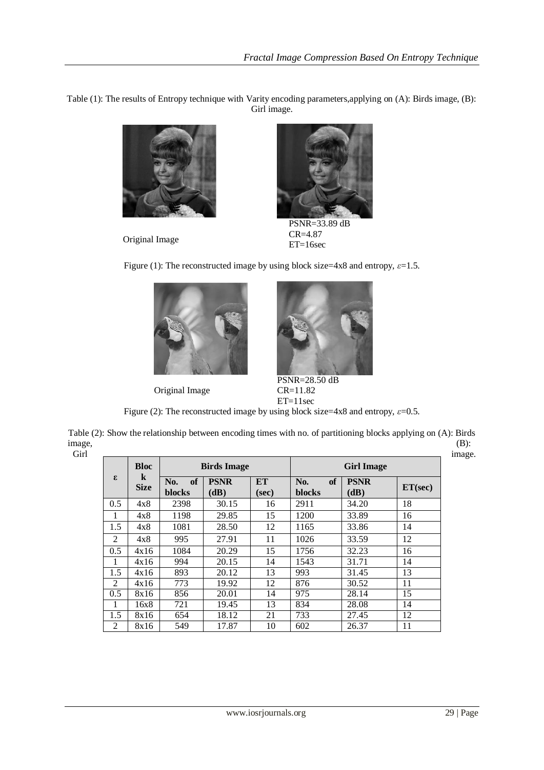Table (1): The results of Entropy technique with Varity encoding parameters,applying on (A): Birds image, (B): Girl image.



Original Image



 PSNR=33.89 dB CR=4.87 ET=16sec

Figure (1): The reconstructed image by using block size=4x8 and entropy, *ε*=1.5.



Original Image



PSNR=28.50 dB CR=11.82 ET=11sec

| Figure (2): The reconstructed image by using block size=4x8 and entropy, $\varepsilon$ =0.5. |  |  |
|----------------------------------------------------------------------------------------------|--|--|
|                                                                                              |  |  |

Table (2): Show the relationship between encoding times with no. of partitioning blocks applying on (A): Birds image, (B):

| v<br>$\sim$  | v |  |
|--------------|---|--|
| ×<br>۰,<br>v |   |  |
|              |   |  |

| £.  | <b>Bloc</b><br>$\bf k$<br><b>Size</b> | <b>Birds Image</b>  |                     | <b>Girl Image</b>  |                     |                     |         |
|-----|---------------------------------------|---------------------|---------------------|--------------------|---------------------|---------------------|---------|
|     |                                       | of<br>No.<br>blocks | <b>PSNR</b><br>(dB) | <b>ET</b><br>(sec) | of<br>No.<br>blocks | <b>PSNR</b><br>(dB) | ET(sec) |
| 0.5 | 4x8                                   | 2398                | 30.15               | 16                 | 2911                | 34.20               | 18      |
|     | 4x8                                   | 1198                | 29.85               | 15                 | 1200                | 33.89               | 16      |
| 1.5 | 4x8                                   | 1081                | 28.50               | 12                 | 1165                | 33.86               | 14      |
| 2   | 4x8                                   | 995                 | 27.91               | 11                 | 1026                | 33.59               | 12      |
| 0.5 | 4x16                                  | 1084                | 20.29               | 15                 | 1756                | 32.23               | 16      |
| 1   | 4x16                                  | 994                 | 20.15               | 14                 | 1543                | 31.71               | 14      |
| 1.5 | 4x16                                  | 893                 | 20.12               | 13                 | 993                 | 31.45               | 13      |
| 2   | 4x16                                  | 773                 | 19.92               | 12                 | 876                 | 30.52               | 11      |
| 0.5 | 8x16                                  | 856                 | 20.01               | 14                 | 975                 | 28.14               | 15      |
|     | 16x8                                  | 721                 | 19.45               | 13                 | 834                 | 28.08               | 14      |
| 1.5 | 8x16                                  | 654                 | 18.12               | 21                 | 733                 | 27.45               | 12      |
| 2   | 8x16                                  | 549                 | 17.87               | 10                 | 602                 | 26.37               | 11      |